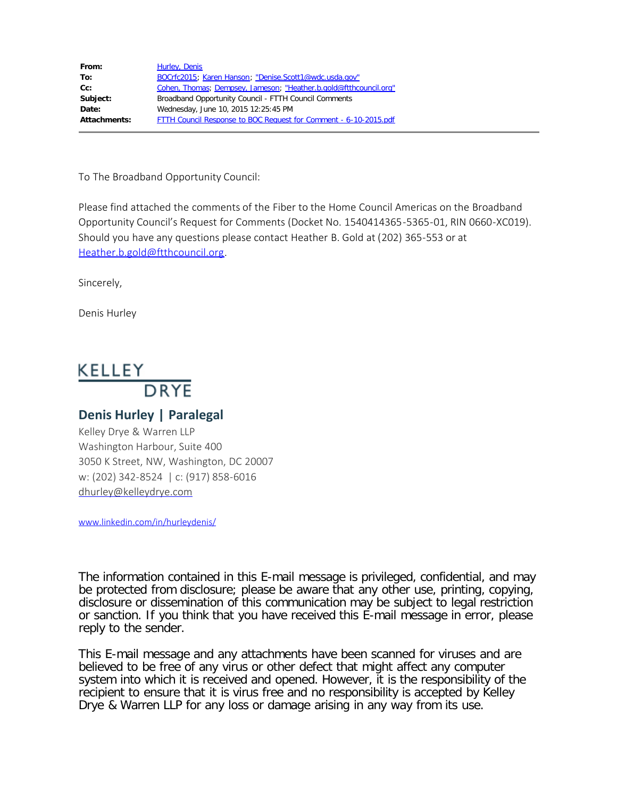| From:        | Hurley, Denis                                                     |
|--------------|-------------------------------------------------------------------|
| To:          | BOCrfc2015; Karen Hanson; "Denise.Scott1@wdc.usda.gov"            |
| Cc:          | Cohen, Thomas; Dempsey, Jameson; "Heather.b.gold@ftthcouncil.org" |
| Subject:     | Broadband Opportunity Council - FTTH Council Comments             |
| Date:        | Wednesday, June 10, 2015 12:25:45 PM                              |
| Attachments: | FTTH Council Response to BOC Request for Comment - 6-10-2015.pdf  |

To The Broadband Opportunity Council:

Please find attached the comments of the Fiber to the Home Council Americas on the Broadband Opportunity Council's Request for Comments (Docket No. 1540414365-5365-01, RIN 0660-XC019). Should you have any questions please contact Heather B. Gold at (202) 365-553 or at [Heather.b.gold@ftthcouncil.org.](mailto:Heather.b.gold@ftthcouncil.org)

Sincerely,

Denis Hurley

## KELLEY **DRYE**

## **Denis Hurley | Paralegal**

Kelley Drye & Warren LLP Washington Harbour, Suite 400 3050 K Street, NW, Washington, DC 20007 w: (202) 342-8524 | c: (917) 858-6016 [dhurley@kelleydrye.com](mailto:dhurley@kelleydrye.com)

[www.linkedin.com/in/hurleydenis/](http://www.linkedin.com/in/hurleydenis/)

The information contained in this E-mail message is privileged, confidential, and may be protected from disclosure; please be aware that any other use, printing, copying, disclosure or dissemination of this communication may be subject to legal restriction or sanction. If you think that you have received this E-mail message in error, please reply to the sender.

This E-mail message and any attachments have been scanned for viruses and are believed to be free of any virus or other defect that might affect any computer system into which it is received and opened. However, it is the responsibility of the recipient to ensure that it is virus free and no responsibility is accepted by Kelley Drye & Warren LLP for any loss or damage arising in any way from its use.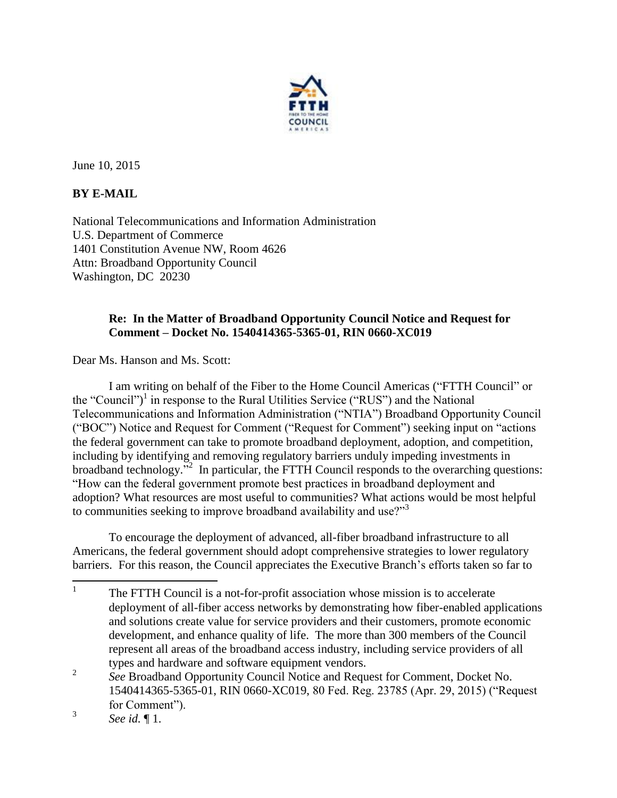

June 10, 2015

## **BY E-MAIL**

National Telecommunications and Information Administration U.S. Department of Commerce 1401 Constitution Avenue NW, Room 4626 Attn: Broadband Opportunity Council Washington, DC 20230

## **Re: In the Matter of Broadband Opportunity Council Notice and Request for Comment – Docket No. 1540414365-5365-01, RIN 0660-XC019**

Dear Ms. Hanson and Ms. Scott:

I am writing on behalf of the Fiber to the Home Council Americas ("FTTH Council" or the "Council") 1 in response to the Rural Utilities Service ("RUS") and the National Telecommunications and Information Administration ("NTIA") Broadband Opportunity Council ("BOC") Notice and Request for Comment ("Request for Comment") seeking input on "actions the federal government can take to promote broadband deployment, adoption, and competition, including by identifying and removing regulatory barriers unduly impeding investments in broadband technology."<sup>2</sup> In particular, the FTTH Council responds to the overarching questions: "How can the federal government promote best practices in broadband deployment and adoption? What resources are most useful to communities? What actions would be most helpful to communities seeking to improve broadband availability and use?"<sup>3</sup>

To encourage the deployment of advanced, all-fiber broadband infrastructure to all Americans, the federal government should adopt comprehensive strategies to lower regulatory barriers. For this reason, the Council appreciates the Executive Branch's efforts taken so far to

 $\frac{1}{1}$  The FTTH Council is a not-for-profit association whose mission is to accelerate deployment of all-fiber access networks by demonstrating how fiber-enabled applications and solutions create value for service providers and their customers, promote economic development, and enhance quality of life. The more than 300 members of the Council represent all areas of the broadband access industry, including service providers of all types and hardware and software equipment vendors.

<sup>2</sup> *See* Broadband Opportunity Council Notice and Request for Comment, Docket No. 1540414365-5365-01, RIN 0660-XC019, 80 Fed. Reg. 23785 (Apr. 29, 2015) ("Request for Comment").

<sup>3</sup> *See id.* ¶ 1.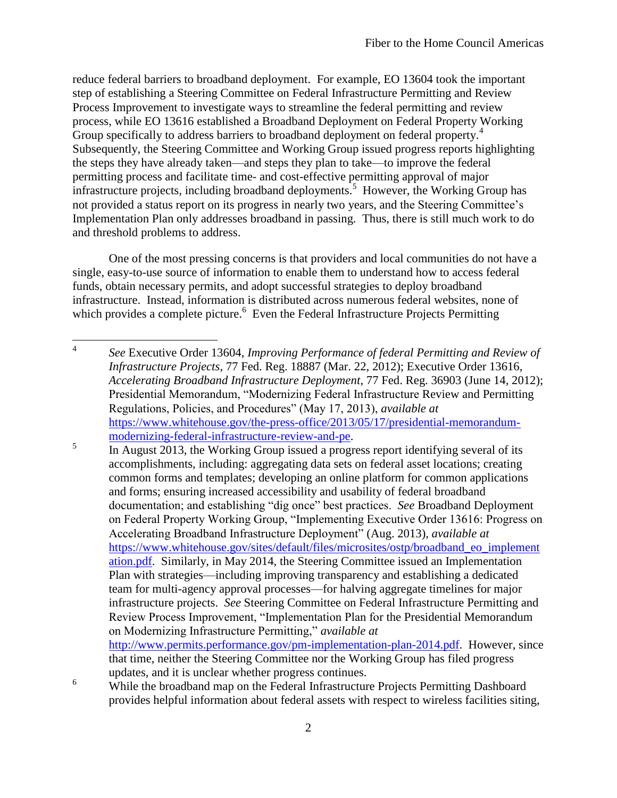reduce federal barriers to broadband deployment. For example, EO 13604 took the important step of establishing a Steering Committee on Federal Infrastructure Permitting and Review Process Improvement to investigate ways to streamline the federal permitting and review process, while EO 13616 established a Broadband Deployment on Federal Property Working Group specifically to address barriers to broadband deployment on federal property.<sup>4</sup> Subsequently, the Steering Committee and Working Group issued progress reports highlighting the steps they have already taken—and steps they plan to take—to improve the federal permitting process and facilitate time- and cost-effective permitting approval of major infrastructure projects, including broadband deployments.<sup>5</sup> However, the Working Group has not provided a status report on its progress in nearly two years, and the Steering Committee's Implementation Plan only addresses broadband in passing. Thus, there is still much work to do and threshold problems to address.

One of the most pressing concerns is that providers and local communities do not have a single, easy-to-use source of information to enable them to understand how to access federal funds, obtain necessary permits, and adopt successful strategies to deploy broadband infrastructure. Instead, information is distributed across numerous federal websites, none of which provides a complete picture.  $6$  Even the Federal Infrastructure Projects Permitting

<sup>6</sup> While the broadband map on the Federal Infrastructure Projects Permitting Dashboard provides helpful information about federal assets with respect to wireless facilities siting,

 $\frac{1}{4}$  *See* Executive Order 13604, *Improving Performance of federal Permitting and Review of Infrastructure Projects*, 77 Fed. Reg. 18887 (Mar. 22, 2012); Executive Order 13616, *Accelerating Broadband Infrastructure Deployment*, 77 Fed. Reg. 36903 (June 14, 2012); Presidential Memorandum, "Modernizing Federal Infrastructure Review and Permitting Regulations, Policies, and Procedures" (May 17, 2013), *available at* [https://www.whitehouse.gov/the-press-office/2013/05/17/presidential-memorandum](https://www.whitehouse.gov/the-press-office/2013/05/17/presidential-memorandum-modernizing-federal-infrastructure-review-and-pe)[modernizing-federal-infrastructure-review-and-pe.](https://www.whitehouse.gov/the-press-office/2013/05/17/presidential-memorandum-modernizing-federal-infrastructure-review-and-pe)

<sup>5</sup> In August 2013, the Working Group issued a progress report identifying several of its accomplishments, including: aggregating data sets on federal asset locations; creating common forms and templates; developing an online platform for common applications and forms; ensuring increased accessibility and usability of federal broadband documentation; and establishing "dig once" best practices. *See* Broadband Deployment on Federal Property Working Group, "Implementing Executive Order 13616: Progress on Accelerating Broadband Infrastructure Deployment" (Aug. 2013), *available at*  [https://www.whitehouse.gov/sites/default/files/microsites/ostp/broadband\\_eo\\_implement](https://www.whitehouse.gov/sites/default/files/microsites/ostp/broadband_eo_implementation.pdf) [ation.pdf.](https://www.whitehouse.gov/sites/default/files/microsites/ostp/broadband_eo_implementation.pdf) Similarly, in May 2014, the Steering Committee issued an Implementation Plan with strategies—including improving transparency and establishing a dedicated team for multi-agency approval processes—for halving aggregate timelines for major infrastructure projects. *See* Steering Committee on Federal Infrastructure Permitting and Review Process Improvement, "Implementation Plan for the Presidential Memorandum on Modernizing Infrastructure Permitting," *available at*  [http://www.permits.performance.gov/pm-implementation-plan-2014.pdf.](http://www.permits.performance.gov/pm-implementation-plan-2014.pdf) However, since that time, neither the Steering Committee nor the Working Group has filed progress

updates, and it is unclear whether progress continues.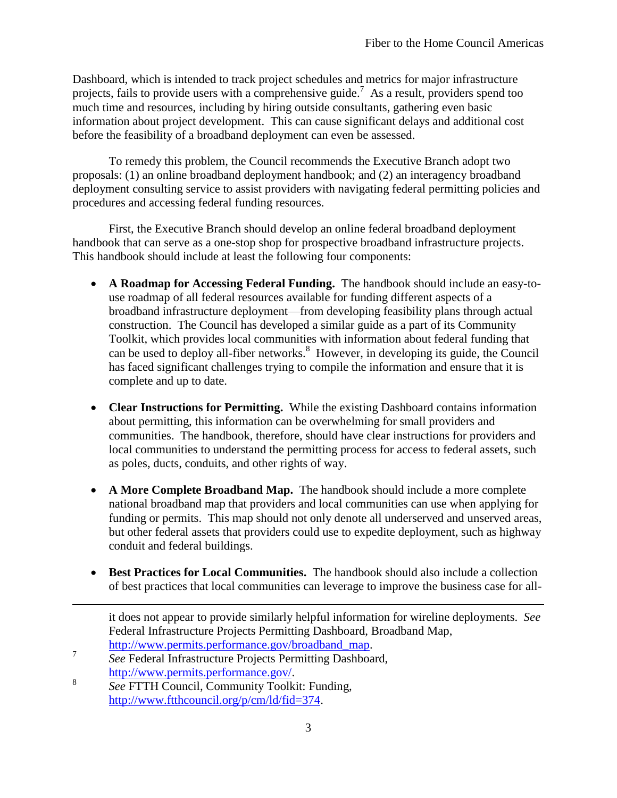Dashboard, which is intended to track project schedules and metrics for major infrastructure projects, fails to provide users with a comprehensive guide.<sup>7</sup> As a result, providers spend too much time and resources, including by hiring outside consultants, gathering even basic information about project development. This can cause significant delays and additional cost before the feasibility of a broadband deployment can even be assessed.

To remedy this problem, the Council recommends the Executive Branch adopt two proposals: (1) an online broadband deployment handbook; and (2) an interagency broadband deployment consulting service to assist providers with navigating federal permitting policies and procedures and accessing federal funding resources.

First, the Executive Branch should develop an online federal broadband deployment handbook that can serve as a one-stop shop for prospective broadband infrastructure projects. This handbook should include at least the following four components:

- **A Roadmap for Accessing Federal Funding.** The handbook should include an easy-touse roadmap of all federal resources available for funding different aspects of a broadband infrastructure deployment—from developing feasibility plans through actual construction. The Council has developed a similar guide as a part of its Community Toolkit, which provides local communities with information about federal funding that can be used to deploy all-fiber networks. $8\,$  However, in developing its guide, the Council has faced significant challenges trying to compile the information and ensure that it is complete and up to date.
- **Clear Instructions for Permitting.** While the existing Dashboard contains information about permitting, this information can be overwhelming for small providers and communities. The handbook, therefore, should have clear instructions for providers and local communities to understand the permitting process for access to federal assets, such as poles, ducts, conduits, and other rights of way.
- **A More Complete Broadband Map.** The handbook should include a more complete national broadband map that providers and local communities can use when applying for funding or permits. This map should not only denote all underserved and unserved areas, but other federal assets that providers could use to expedite deployment, such as highway conduit and federal buildings.
- **Best Practices for Local Communities.** The handbook should also include a collection of best practices that local communities can leverage to improve the business case for all-

l

it does not appear to provide similarly helpful information for wireline deployments. *See*  Federal Infrastructure Projects Permitting Dashboard, Broadband Map, [http://www.permits.performance.gov/broadband\\_map.](http://www.permits.performance.gov/broadband_map)

<sup>7</sup> *See* Federal Infrastructure Projects Permitting Dashboard, [http://www.permits.performance.gov/.](http://www.permits.performance.gov/)

<sup>8</sup> *See* FTTH Council, Community Toolkit: Funding, [http://www.ftthcouncil.org/p/cm/ld/fid=374.](http://www.ftthcouncil.org/p/cm/ld/fid=374)